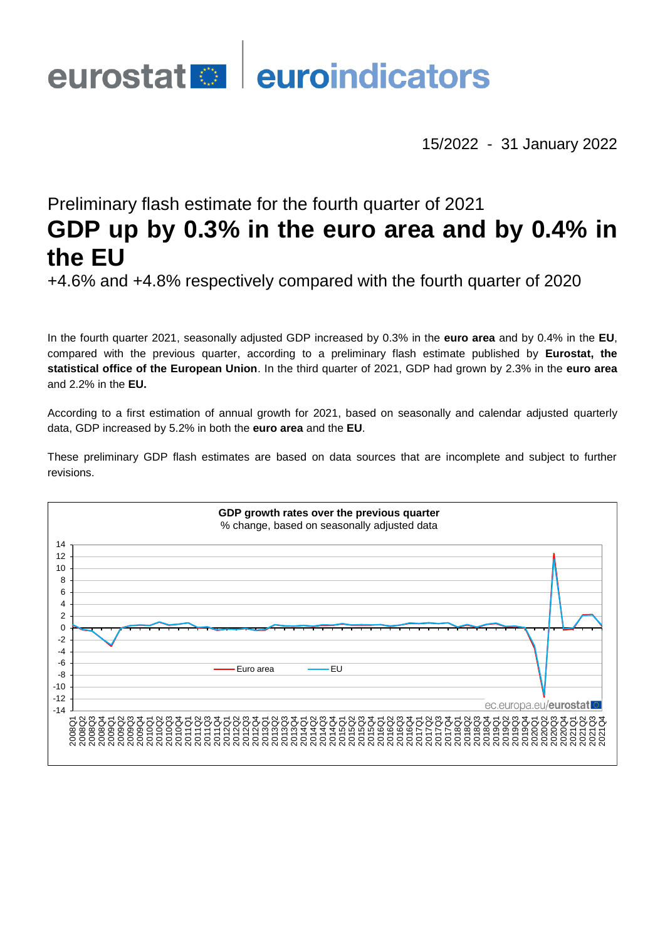# eurostat **en la euroindicators**

15/2022 - 31 January 2022

## Preliminary flash estimate for the fourth quarter of 2021 **GDP up by 0.3% in the euro area and by 0.4% in the EU**

+4.6% and +4.8% respectively compared with the fourth quarter of 2020

In the fourth quarter 2021, seasonally adjusted GDP increased by 0.3% in the **euro area** and by 0.4% in the **EU**, compared with the previous quarter, according to a preliminary flash estimate published by **Eurostat, the statistical office of the European Union**. In the third quarter of 2021, GDP had grown by 2.3% in the **euro area** and 2.2% in the **EU.**

According to a first estimation of annual growth for 2021, based on seasonally and calendar adjusted quarterly data, GDP increased by 5.2% in both the **euro area** and the **EU**.

These preliminary GDP flash estimates are based on data sources that are incomplete and subject to further revisions.

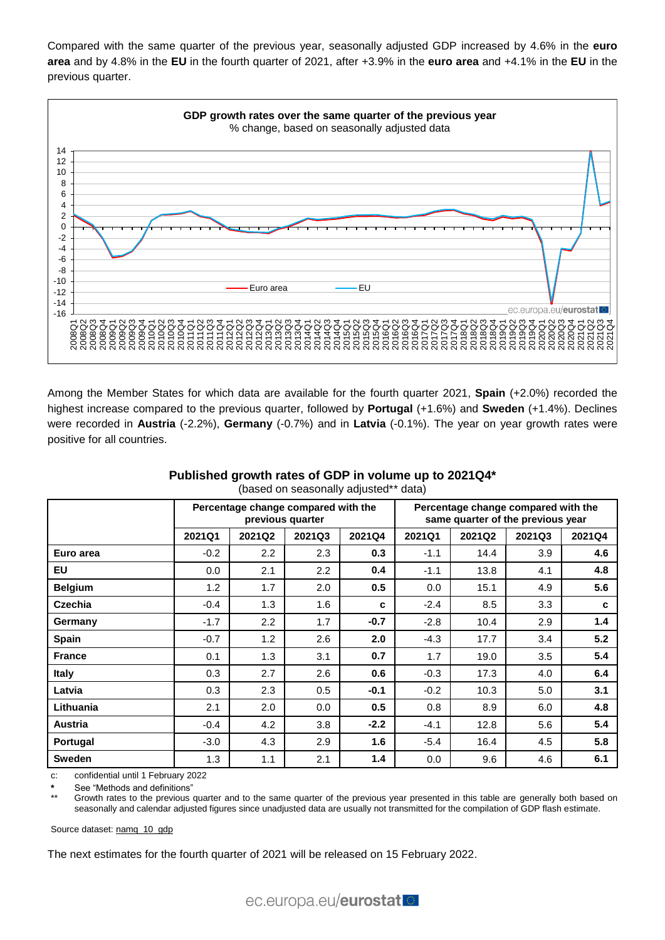Compared with the same quarter of the previous year, seasonally adjusted GDP increased by 4.6% in the **euro area** and by 4.8% in the **EU** in the fourth quarter of 2021, after +3.9% in the **euro area** and +4.1% in the **EU** in the previous quarter.



Among the Member States for which data are available for the fourth quarter 2021, **Spain** (+2.0%) recorded the highest increase compared to the previous quarter, followed by **Portugal** (+1.6%) and **Sweden** (+1.4%). Declines were recorded in **Austria** (-2.2%), **Germany** (-0.7%) and in **Latvia** (-0.1%). The year on year growth rates were positive for all countries.

| (pased on seasonally adjusted<br>uald) |                                                         |                  |         |        |                                                                          |        |        |        |
|----------------------------------------|---------------------------------------------------------|------------------|---------|--------|--------------------------------------------------------------------------|--------|--------|--------|
|                                        | Percentage change compared with the<br>previous quarter |                  |         |        | Percentage change compared with the<br>same quarter of the previous year |        |        |        |
|                                        | 2021Q1                                                  | 2021Q2           | 2021Q3  | 2021Q4 | 2021Q1                                                                   | 2021Q2 | 2021Q3 | 2021Q4 |
| Euro area                              | $-0.2$                                                  | $2.2\phantom{0}$ | 2.3     | 0.3    | $-1.1$                                                                   | 14.4   | 3.9    | 4.6    |
| <b>EU</b>                              | 0.0                                                     | 2.1              | $2.2\,$ | 0.4    | $-1.1$                                                                   | 13.8   | 4.1    | 4.8    |
| <b>Belgium</b>                         | 1.2                                                     | 1.7              | 2.0     | 0.5    | 0.0                                                                      | 15.1   | 4.9    | 5.6    |
| <b>Czechia</b>                         | $-0.4$                                                  | 1.3              | 1.6     | c      | $-2.4$                                                                   | 8.5    | 3.3    | C      |
| Germany                                | $-1.7$                                                  | 2.2              | 1.7     | $-0.7$ | $-2.8$                                                                   | 10.4   | 2.9    | 1.4    |
| <b>Spain</b>                           | $-0.7$                                                  | 1.2              | 2.6     | 2.0    | $-4.3$                                                                   | 17.7   | 3.4    | 5.2    |
| <b>France</b>                          | 0.1                                                     | 1.3              | 3.1     | 0.7    | 1.7                                                                      | 19.0   | 3.5    | 5.4    |
| <b>Italy</b>                           | 0.3                                                     | 2.7              | 2.6     | 0.6    | $-0.3$                                                                   | 17.3   | 4.0    | 6.4    |
| Latvia                                 | 0.3                                                     | 2.3              | 0.5     | $-0.1$ | $-0.2$                                                                   | 10.3   | 5.0    | 3.1    |
| Lithuania                              | 2.1                                                     | 2.0              | $0.0\,$ | 0.5    | 0.8                                                                      | 8.9    | 6.0    | 4.8    |
| Austria                                | $-0.4$                                                  | 4.2              | 3.8     | $-2.2$ | $-4.1$                                                                   | 12.8   | 5.6    | 5.4    |
| Portugal                               | $-3.0$                                                  | 4.3              | 2.9     | 1.6    | $-5.4$                                                                   | 16.4   | 4.5    | 5.8    |
| <b>Sweden</b>                          | 1.3                                                     | 1.1              | 2.1     | 1.4    | 0.0                                                                      | 9.6    | 4.6    | 6.1    |

**Published growth rates of GDP in volume up to 2021Q4\*** (based on seasonally adjusted\*\* data)

c: confidential until 1 February 2022

**\*** See "Methods and definitions"

Growth rates to the previous quarter and to the same quarter of the previous year presented in this table are generally both based on seasonally and calendar adjusted figures since unadjusted data are usually not transmitted for the compilation of GDP flash estimate.

Source dataset[: namq\\_10\\_gdp](https://ec.europa.eu/eurostat/databrowser/bookmark/18264fa6-1c00-4698-b32a-2ba116759de1?lang=en)

The next estimates for the fourth quarter of 2021 will be released on 15 February 2022.